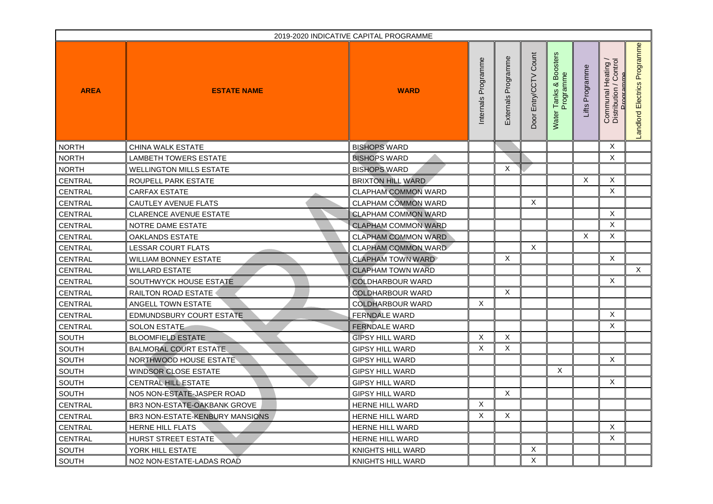| 2019-2020 INDICATIVE CAPITAL PROGRAMME |                                 |                            |                        |                                          |                             |                                                                         |                    |                                              |                                                   |
|----------------------------------------|---------------------------------|----------------------------|------------------------|------------------------------------------|-----------------------------|-------------------------------------------------------------------------|--------------------|----------------------------------------------|---------------------------------------------------|
| <b>AREA</b>                            | <b>ESTATE NAME</b>              | <b>WARD</b>                | Programme<br>Internals | Φ<br>rogram<br>$\Omega$<br>rnals<br>Exte | Count<br>Entry/CCTV<br>Door | sters<br>Ő<br>$\circ$<br>rogramme<br>മ<br>య<br>anks<br>$\Omega$<br>Wate | Programme<br>Lifts | Communal Heating /<br>Distribution / Control | rogramme<br>$\mathbf{r}$<br>Electrics<br>Landlord |
| NORTH                                  | <b>CHINA WALK ESTATE</b>        | <b>BISHOPS WARD</b>        |                        |                                          |                             |                                                                         |                    | X                                            |                                                   |
| NORTH                                  | <b>LAMBETH TOWERS ESTATE</b>    | <b>BISHOPS WARD</b>        |                        |                                          |                             |                                                                         |                    | X                                            |                                                   |
| <b>NORTH</b>                           | <b>WELLINGTON MILLS ESTATE</b>  | <b>BISHOPS WARD</b>        |                        | X                                        |                             |                                                                         |                    |                                              |                                                   |
| <b>CENTRAL</b>                         | ROUPELL PARK ESTATE             | <b>BRIXTON HILL WARD</b>   |                        |                                          |                             |                                                                         | X                  | X                                            |                                                   |
| <b>CENTRAL</b>                         | <b>CARFAX ESTATE</b>            | <b>CLAPHAM COMMON WARD</b> |                        |                                          |                             |                                                                         |                    | X                                            |                                                   |
| <b>CENTRAL</b>                         | <b>CAUTLEY AVENUE FLATS</b>     | <b>CLAPHAM COMMON WARD</b> |                        |                                          | $\sf X$                     |                                                                         |                    |                                              |                                                   |
| <b>CENTRAL</b>                         | <b>CLARENCE AVENUE ESTATE</b>   | <b>CLAPHAM COMMON WARD</b> |                        |                                          |                             |                                                                         |                    | X                                            |                                                   |
| <b>CENTRAL</b>                         | NOTRE DAME ESTATE               | <b>CLAPHAM COMMON WARD</b> |                        |                                          |                             |                                                                         |                    | X                                            |                                                   |
| <b>CENTRAL</b>                         | <b>OAKLANDS ESTATE</b>          | <b>CLAPHAM COMMON WARD</b> |                        |                                          |                             |                                                                         | X                  | X.                                           |                                                   |
| <b>CENTRAL</b>                         | <b>LESSAR COURT FLATS</b>       | <b>CLAPHAM COMMON WARD</b> |                        |                                          | $\mathsf{X}$                |                                                                         |                    |                                              |                                                   |
| <b>CENTRAL</b>                         | <b>WILLIAM BONNEY ESTATE</b>    | <b>CLAPHAM TOWN WARD</b>   |                        | X                                        |                             |                                                                         |                    | X                                            |                                                   |
| <b>CENTRAL</b>                         | <b>WILLARD ESTATE</b>           | <b>CLAPHAM TOWN WARD</b>   |                        |                                          |                             |                                                                         |                    |                                              | X                                                 |
| <b>CENTRAL</b>                         | SOUTHWYCK HOUSE ESTATE          | <b>COLDHARBOUR WARD</b>    |                        |                                          |                             |                                                                         |                    | X                                            |                                                   |
| CENTRAL                                | <b>RAILTON ROAD ESTATE</b>      | <b>COLDHARBOUR WARD</b>    |                        | X                                        |                             |                                                                         |                    |                                              |                                                   |
| <b>CENTRAL</b>                         | <b>ANGELL TOWN ESTATE</b>       | <b>COLDHARBOUR WARD</b>    | X                      |                                          |                             |                                                                         |                    |                                              |                                                   |
| <b>CENTRAL</b>                         | <b>EDMUNDSBURY COURT ESTATE</b> | <b>FERNDALE WARD</b>       |                        |                                          |                             |                                                                         |                    | X                                            |                                                   |
| <b>CENTRAL</b>                         | <b>SOLON ESTATE</b>             | <b>FERNDALE WARD</b>       |                        |                                          |                             |                                                                         |                    | X                                            |                                                   |
| <b>SOUTH</b>                           | <b>BLOOMFIELD ESTATE</b>        | <b>GIPSY HILL WARD</b>     | X                      | X                                        |                             |                                                                         |                    |                                              |                                                   |
| <b>SOUTH</b>                           | <b>BALMORAL COURT ESTATE</b>    | <b>GIPSY HILL WARD</b>     | X                      | X                                        |                             |                                                                         |                    |                                              |                                                   |
| <b>SOUTH</b>                           | NORTHWOOD HOUSE ESTATE          | <b>GIPSY HILL WARD</b>     |                        |                                          |                             |                                                                         |                    | $\mathsf{X}$                                 |                                                   |
| <b>SOUTH</b>                           | <b>WINDSOR CLOSE ESTATE</b>     | <b>GIPSY HILL WARD</b>     |                        |                                          |                             | X                                                                       |                    |                                              |                                                   |
| <b>SOUTH</b>                           | <b>CENTRAL HILL ESTATE</b>      | <b>GIPSY HILL WARD</b>     |                        |                                          |                             |                                                                         |                    | X                                            |                                                   |
| <b>SOUTH</b>                           | NO5 NON-ESTATE-JASPER ROAD      | <b>GIPSY HILL WARD</b>     |                        | X                                        |                             |                                                                         |                    |                                              |                                                   |
| <b>CENTRAL</b>                         | BR3 NON-ESTATE-OAKBANK GROVE    | <b>HERNE HILL WARD</b>     | X                      |                                          |                             |                                                                         |                    |                                              |                                                   |
| CENTRAL                                | BR3 NON-ESTATE-KENBURY MANSIONS | <b>HERNE HILL WARD</b>     | X                      | X                                        |                             |                                                                         |                    |                                              |                                                   |
| <b>CENTRAL</b>                         | <b>HERNE HILL FLATS</b>         | <b>HERNE HILL WARD</b>     |                        |                                          |                             |                                                                         |                    | X                                            |                                                   |
| <b>CENTRAL</b>                         | <b>HURST STREET ESTATE</b>      | <b>HERNE HILL WARD</b>     |                        |                                          |                             |                                                                         |                    | X                                            |                                                   |
| <b>SOUTH</b>                           | YORK HILL ESTATE                | <b>KNIGHTS HILL WARD</b>   |                        |                                          | $\mathsf{X}$                |                                                                         |                    |                                              |                                                   |
| ∥ SOUTH                                | NO2 NON-ESTATE-LADAS ROAD       | <b>KNIGHTS HILL WARD</b>   |                        |                                          | X                           |                                                                         |                    |                                              |                                                   |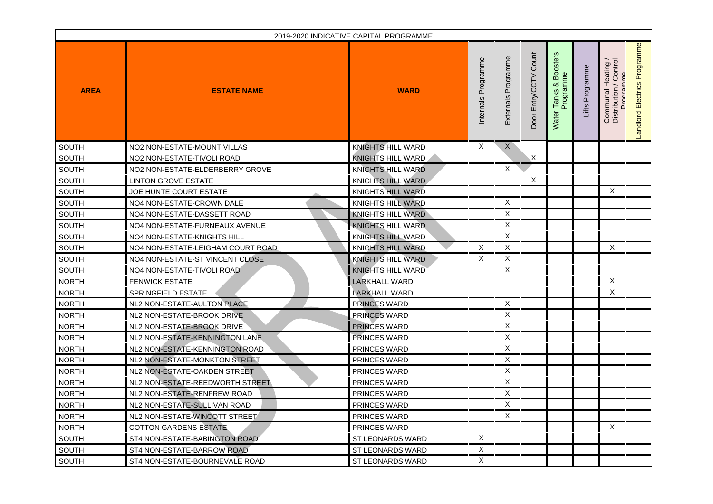| 2019-2020 INDICATIVE CAPITAL PROGRAMME |                                   |                          |                        |                                     |                                    |                                                            |                    |                                              |                                    |
|----------------------------------------|-----------------------------------|--------------------------|------------------------|-------------------------------------|------------------------------------|------------------------------------------------------------|--------------------|----------------------------------------------|------------------------------------|
| <b>AREA</b>                            | <b>ESTATE NAME</b>                | <b>WARD</b>              | Programme<br>Internals | Φ<br>rogramm<br>௳<br>rnals<br>Exter | Count<br>Entry/CCTV<br><b>Door</b> | osters<br>$\circ$<br>Programme<br>മ്<br>య<br>anks<br>Water | Programme<br>Lifts | Communal Heating /<br>Distribution / Control | Programme<br>Electrics<br>Landlord |
| <b>SOUTH</b>                           | NO2 NON-ESTATE-MOUNT VILLAS       | <b>KNIGHTS HILL WARD</b> | X                      | X                                   |                                    |                                                            |                    |                                              |                                    |
| <b>SOUTH</b>                           | NO2 NON-ESTATE-TIVOLI ROAD        | KNIGHTS HILL WARD        |                        |                                     | $\mathsf{X}$                       |                                                            |                    |                                              |                                    |
| <b>SOUTH</b>                           | NO2 NON-ESTATE-ELDERBERRY GROVE   | <b>KNIGHTS HILL WARD</b> |                        | X                                   |                                    |                                                            |                    |                                              |                                    |
| <b>SOUTH</b>                           | <b>LINTON GROVE ESTATE</b>        | <b>KNIGHTS HILL WARD</b> |                        |                                     | X                                  |                                                            |                    |                                              |                                    |
| <b>SOUTH</b>                           | JOE HUNTE COURT ESTATE            | <b>KNIGHTS HILL WARD</b> |                        |                                     |                                    |                                                            |                    | X                                            |                                    |
| <b>SOUTH</b>                           | NO4 NON-ESTATE-CROWN DALE         | <b>KNIGHTS HILL WARD</b> |                        | X                                   |                                    |                                                            |                    |                                              |                                    |
| <b>SOUTH</b>                           | NO4 NON-ESTATE-DASSETT ROAD       | <b>KNIGHTS HILL WARD</b> |                        | X                                   |                                    |                                                            |                    |                                              |                                    |
| <b>SOUTH</b>                           | NO4 NON-ESTATE-FURNEAUX AVENUE    | <b>KNIGHTS HILL WARD</b> |                        | X                                   |                                    |                                                            |                    |                                              |                                    |
| <b>SOUTH</b>                           | NO4 NON-ESTATE-KNIGHTS HILL       | KNIGHTS HILL WARD        |                        | X                                   |                                    |                                                            |                    |                                              |                                    |
| <b>SOUTH</b>                           | NO4 NON-ESTATE-LEIGHAM COURT ROAD | KNIGHTS HILL WARD        | X                      | X                                   |                                    |                                                            |                    | X                                            |                                    |
| <b>SOUTH</b>                           | NO4 NON-ESTATE-ST VINCENT CLOSE   | <b>KNIGHTS HILL WARD</b> | X                      | X                                   |                                    |                                                            |                    |                                              |                                    |
| <b>SOUTH</b>                           | NO4 NON-ESTATE-TIVOLI ROAD        | <b>KNIGHTS HILL WARD</b> |                        | X                                   |                                    |                                                            |                    |                                              |                                    |
| <b>NORTH</b>                           | <b>FENWICK ESTATE</b>             | <b>LARKHALL WARD</b>     |                        |                                     |                                    |                                                            |                    | X                                            |                                    |
| NORTH                                  | <b>SPRINGFIELD ESTATE</b>         | <b>LARKHALL WARD</b>     |                        |                                     |                                    |                                                            |                    | X                                            |                                    |
| <b>NORTH</b>                           | NL2 NON-ESTATE-AULTON PLACE       | <b>PRINCES WARD</b>      |                        | X                                   |                                    |                                                            |                    |                                              |                                    |
| <b>NORTH</b>                           | NL2 NON-ESTATE-BROOK DRIVE        | <b>PRINCES WARD</b>      |                        | X                                   |                                    |                                                            |                    |                                              |                                    |
| <b>NORTH</b>                           | NL2 NON-ESTATE-BROOK DRIVE        | <b>PRINCES WARD</b>      |                        | X                                   |                                    |                                                            |                    |                                              |                                    |
| <b>NORTH</b>                           | NL2 NON-ESTATE-KENNINGTON LANE    | <b>PRINCES WARD</b>      |                        | X                                   |                                    |                                                            |                    |                                              |                                    |
| <b>NORTH</b>                           | NL2 NON-ESTATE-KENNINGTON ROAD    | <b>PRINCES WARD</b>      |                        | X                                   |                                    |                                                            |                    |                                              |                                    |
| <b>NORTH</b>                           | NL2 NON-ESTATE-MONKTON STREET     | <b>PRINCES WARD</b>      |                        | X                                   |                                    |                                                            |                    |                                              |                                    |
| NORTH                                  | NL2 NON-ESTATE-OAKDEN STREET      | <b>PRINCES WARD</b>      |                        | X                                   |                                    |                                                            |                    |                                              |                                    |
| <b>NORTH</b>                           | NL2 NON-ESTATE-REEDWORTH STREET   | <b>PRINCES WARD</b>      |                        | X                                   |                                    |                                                            |                    |                                              |                                    |
| NORTH                                  | NL2 NON-ESTATE-RENFREW ROAD       | <b>PRINCES WARD</b>      |                        | X                                   |                                    |                                                            |                    |                                              |                                    |
| <b>NORTH</b>                           | NL2 NON-ESTATE-SULLIVAN ROAD      | <b>PRINCES WARD</b>      |                        | X                                   |                                    |                                                            |                    |                                              |                                    |
| <b>NORTH</b>                           | NL2 NON-ESTATE-WINCOTT STREET     | <b>PRINCES WARD</b>      |                        | X                                   |                                    |                                                            |                    |                                              |                                    |
| <b>NORTH</b>                           | <b>COTTON GARDENS ESTATE</b>      | <b>PRINCES WARD</b>      |                        |                                     |                                    |                                                            |                    | X                                            |                                    |
| <b>SOUTH</b>                           | ST4 NON-ESTATE-BABINGTON ROAD     | <b>ST LEONARDS WARD</b>  | X                      |                                     |                                    |                                                            |                    |                                              |                                    |
| <b>SOUTH</b>                           | ST4 NON-ESTATE-BARROW ROAD        | <b>ST LEONARDS WARD</b>  | X                      |                                     |                                    |                                                            |                    |                                              |                                    |
| <b>SOUTH</b>                           | ST4 NON-ESTATE-BOURNEVALE ROAD    | <b>ST LEONARDS WARD</b>  | X                      |                                     |                                    |                                                            |                    |                                              |                                    |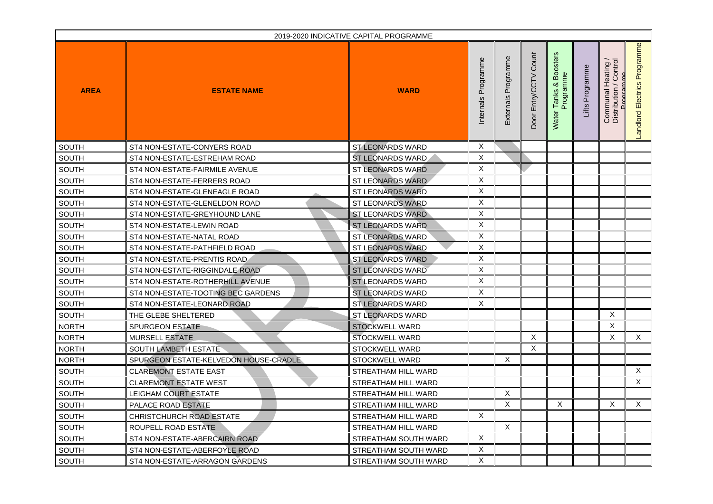| 2019-2020 INDICATIVE CAPITAL PROGRAMME |                                       |                             |                        |                                  |                             |                                                          |                                   |                                                                  |                                   |
|----------------------------------------|---------------------------------------|-----------------------------|------------------------|----------------------------------|-----------------------------|----------------------------------------------------------|-----------------------------------|------------------------------------------------------------------|-----------------------------------|
| <b>AREA</b>                            | <b>ESTATE NAME</b>                    | <b>WARD</b>                 | Programme<br>Internals | Φ<br>media<br>൧<br>rnals<br>Exte | Count<br>Entry/CCTV<br>Door | sters<br>$\circ$<br>Programme<br>മ<br>య<br>anks<br>Water | rogramme<br>$\mathbf{a}$<br>Lifts | Communal Heating /<br>Distribution / Control<br><b>Programme</b> | Programme<br>Electrics<br>andlord |
| <b>SOUTH</b>                           | ST4 NON-ESTATE-CONYERS ROAD           | <b>ST LEONARDS WARD</b>     | X                      |                                  |                             |                                                          |                                   |                                                                  |                                   |
| <b>SOUTH</b>                           | ST4 NON-ESTATE-ESTREHAM ROAD          | ST LEONARDS WARD            | X                      |                                  |                             |                                                          |                                   |                                                                  |                                   |
| <b>SOUTH</b>                           | ST4 NON-ESTATE-FAIRMILE AVENUE        | <b>ST LEONARDS WARD</b>     | X                      |                                  |                             |                                                          |                                   |                                                                  |                                   |
| <b>SOUTH</b>                           | ST4 NON-ESTATE-FERRERS ROAD           | ST LEONARDS WARD            | X                      |                                  |                             |                                                          |                                   |                                                                  |                                   |
| <b>SOUTH</b>                           | ST4 NON-ESTATE-GLENEAGLE ROAD         | <b>ST LEONARDS WARD</b>     | X                      |                                  |                             |                                                          |                                   |                                                                  |                                   |
| <b>SOUTH</b>                           | ST4 NON-ESTATE-GLENELDON ROAD         | <b>ST LEONARDS WARD</b>     | X                      |                                  |                             |                                                          |                                   |                                                                  |                                   |
| <b>SOUTH</b>                           | ST4 NON-ESTATE-GREYHOUND LANE         | <b>ST LEONARDS WARD</b>     | X                      |                                  |                             |                                                          |                                   |                                                                  |                                   |
| <b>SOUTH</b>                           | ST4 NON-ESTATE-LEWIN ROAD             | <b>ST LEONARDS WARD</b>     | X                      |                                  |                             |                                                          |                                   |                                                                  |                                   |
| <b>SOUTH</b>                           | ST4 NON-ESTATE-NATAL ROAD             | <b>ST LEONARDS WARD</b>     | X                      |                                  |                             |                                                          |                                   |                                                                  |                                   |
| <b>SOUTH</b>                           | ST4 NON-ESTATE-PATHFIELD ROAD         | <b>ST LEONARDS WARD</b>     | X                      |                                  |                             |                                                          |                                   |                                                                  |                                   |
| <b>SOUTH</b>                           | ST4 NON-ESTATE-PRENTIS ROAD           | <b>ST LEONARDS WARD</b>     | X                      |                                  |                             |                                                          |                                   |                                                                  |                                   |
| <b>SOUTH</b>                           | ST4 NON-ESTATE-RIGGINDALE ROAD        | <b>ST LEONARDS WARD</b>     | X                      |                                  |                             |                                                          |                                   |                                                                  |                                   |
| <b>SOUTH</b>                           | ST4 NON-ESTATE-ROTHERHILL AVENUE      | <b>ST LEONARDS WARD</b>     | X                      |                                  |                             |                                                          |                                   |                                                                  |                                   |
| SOUTH                                  | ST4 NON-ESTATE-TOOTING BEC GARDENS    | <b>ST LEONARDS WARD</b>     | X                      |                                  |                             |                                                          |                                   |                                                                  |                                   |
| <b>SOUTH</b>                           | ST4 NON-ESTATE-LEONARD ROAD           | <b>ST LEONARDS WARD</b>     | X                      |                                  |                             |                                                          |                                   |                                                                  |                                   |
| <b>SOUTH</b>                           | THE GLEBE SHELTERED                   | <b>ST LEONARDS WARD</b>     |                        |                                  |                             |                                                          |                                   | X                                                                |                                   |
| <b>NORTH</b>                           | <b>SPURGEON ESTATE</b>                | <b>STOCKWELL WARD</b>       |                        |                                  |                             |                                                          |                                   | X                                                                |                                   |
| <b>NORTH</b>                           | <b>MURSELL ESTATE</b>                 | <b>STOCKWELL WARD</b>       |                        |                                  | $\mathsf{X}$                |                                                          |                                   | X                                                                | X.                                |
| <b>NORTH</b>                           | SOUTH LAMBETH ESTATE                  | <b>STOCKWELL WARD</b>       |                        |                                  | $\mathsf{X}$                |                                                          |                                   |                                                                  |                                   |
| <b>NORTH</b>                           | SPURGEON ESTATE-KELVEDON HOUSE-CRADLE | <b>STOCKWELL WARD</b>       |                        | X                                |                             |                                                          |                                   |                                                                  |                                   |
| <b>SOUTH</b>                           | <b>CLAREMONT ESTATE EAST</b>          | <b>STREATHAM HILL WARD</b>  |                        |                                  |                             |                                                          |                                   |                                                                  | X                                 |
| <b>SOUTH</b>                           | <b>CLAREMONT ESTATE WEST</b>          | <b>STREATHAM HILL WARD</b>  |                        |                                  |                             |                                                          |                                   |                                                                  | X                                 |
| <b>SOUTH</b>                           | LEIGHAM COURT ESTATE                  | <b>STREATHAM HILL WARD</b>  |                        | X                                |                             |                                                          |                                   |                                                                  |                                   |
| <b>SOUTH</b>                           | <b>PALACE ROAD ESTATE</b>             | <b>STREATHAM HILL WARD</b>  |                        | X                                |                             | X                                                        |                                   | X                                                                | X                                 |
| <b>SOUTH</b>                           | <b>CHRISTCHURCH ROAD ESTATE</b>       | <b>STREATHAM HILL WARD</b>  | X                      |                                  |                             |                                                          |                                   |                                                                  |                                   |
| <b>SOUTH</b>                           | ROUPELL ROAD ESTATE                   | <b>STREATHAM HILL WARD</b>  |                        | X                                |                             |                                                          |                                   |                                                                  |                                   |
| <b>SOUTH</b>                           | ST4 NON-ESTATE-ABERCAIRN ROAD         | <b>STREATHAM SOUTH WARD</b> | X                      |                                  |                             |                                                          |                                   |                                                                  |                                   |
| <b>SOUTH</b>                           | ST4 NON-ESTATE-ABERFOYLE ROAD         | <b>STREATHAM SOUTH WARD</b> | X                      |                                  |                             |                                                          |                                   |                                                                  |                                   |
| <b>SOUTH</b>                           | ST4 NON-ESTATE-ARRAGON GARDENS        | <b>STREATHAM SOUTH WARD</b> | X                      |                                  |                             |                                                          |                                   |                                                                  |                                   |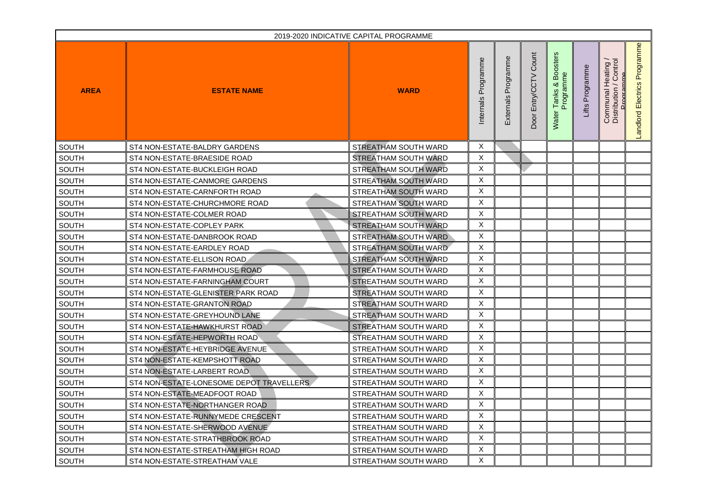| 2019-2020 INDICATIVE CAPITAL PROGRAMME |                                          |                             |                        |                                            |                             |                                                          |                    |                                                                  |                                   |
|----------------------------------------|------------------------------------------|-----------------------------|------------------------|--------------------------------------------|-----------------------------|----------------------------------------------------------|--------------------|------------------------------------------------------------------|-----------------------------------|
| <b>AREA</b>                            | <b>ESTATE NAME</b>                       | <b>WARD</b>                 | Programme<br>Internals | Φ<br>media<br>൧<br>r <sub>na</sub><br>Exte | Count<br>Entry/CCTV<br>Door | sters<br>$\circ$<br>Programme<br>മ<br>య<br>anks<br>Water | Programme<br>Lifts | Communal Heating /<br>Distribution / Control<br><b>Programme</b> | Programme<br>Electrics<br>andlord |
| <b>SOUTH</b>                           | ST4 NON-ESTATE-BALDRY GARDENS            | STREATHAM SOUTH WARD        | X                      |                                            |                             |                                                          |                    |                                                                  |                                   |
| <b>SOUTH</b>                           | ST4 NON-ESTATE-BRAESIDE ROAD             | <b>STREATHAM SOUTH WARD</b> | X                      |                                            |                             |                                                          |                    |                                                                  |                                   |
| <b>SOUTH</b>                           | ST4 NON-ESTATE-BUCKLEIGH ROAD            | STREATHAM SOUTH WARD        | X                      |                                            |                             |                                                          |                    |                                                                  |                                   |
| <b>SOUTH</b>                           | ST4 NON-ESTATE-CANMORE GARDENS           | STREATHAM SOUTH WARD        | X                      |                                            |                             |                                                          |                    |                                                                  |                                   |
| <b>SOUTH</b>                           | ST4 NON-ESTATE-CARNFORTH ROAD            | STREATHAM SOUTH WARD        | X                      |                                            |                             |                                                          |                    |                                                                  |                                   |
| <b>SOUTH</b>                           | ST4 NON-ESTATE-CHURCHMORE ROAD           | STREATHAM SOUTH WARD        | X                      |                                            |                             |                                                          |                    |                                                                  |                                   |
| <b>SOUTH</b>                           | ST4 NON-ESTATE-COLMER ROAD               | <b>STREATHAM SOUTH WARD</b> | X                      |                                            |                             |                                                          |                    |                                                                  |                                   |
| <b>SOUTH</b>                           | ST4 NON-ESTATE-COPLEY PARK               | STREATHAM SOUTH WARD        | X                      |                                            |                             |                                                          |                    |                                                                  |                                   |
| <b>SOUTH</b>                           | ST4 NON-ESTATE-DANBROOK ROAD             | <b>STREATHAM SOUTH WARD</b> | X                      |                                            |                             |                                                          |                    |                                                                  |                                   |
| <b>SOUTH</b>                           | ST4 NON-ESTATE-EARDLEY ROAD              | STREATHAM SOUTH WARD        | X                      |                                            |                             |                                                          |                    |                                                                  |                                   |
| <b>SOUTH</b>                           | ST4 NON-ESTATE-ELLISON ROAD              | STREATHAM SOUTH WARD        | X                      |                                            |                             |                                                          |                    |                                                                  |                                   |
| <b>SOUTH</b>                           | ST4 NON-ESTATE-FARMHOUSE ROAD            | <b>STREATHAM SOUTH WARD</b> | X                      |                                            |                             |                                                          |                    |                                                                  |                                   |
| <b>SOUTH</b>                           | ST4 NON-ESTATE-FARNINGHAM COURT          | <b>STREATHAM SOUTH WARD</b> | X                      |                                            |                             |                                                          |                    |                                                                  |                                   |
| SOUTH                                  | ST4 NON-ESTATE-GLENISTER PARK ROAD       | <b>STREATHAM SOUTH WARD</b> | X                      |                                            |                             |                                                          |                    |                                                                  |                                   |
| <b>SOUTH</b>                           | ST4 NON-ESTATE-GRANTON ROAD              | STREATHAM SOUTH WARD        | X                      |                                            |                             |                                                          |                    |                                                                  |                                   |
| <b>SOUTH</b>                           | ST4 NON-ESTATE-GREYHOUND LANE            | STREATHAM SOUTH WARD        | X                      |                                            |                             |                                                          |                    |                                                                  |                                   |
| <b>SOUTH</b>                           | ST4 NON-ESTATE-HAWKHURST ROAD            | <b>STREATHAM SOUTH WARD</b> | X                      |                                            |                             |                                                          |                    |                                                                  |                                   |
| <b>SOUTH</b>                           | ST4 NON-ESTATE-HEPWORTH ROAD             | <b>STREATHAM SOUTH WARD</b> | X                      |                                            |                             |                                                          |                    |                                                                  |                                   |
| <b>SOUTH</b>                           | ST4 NON-ESTATE-HEYBRIDGE AVENUE          | <b>STREATHAM SOUTH WARD</b> | X                      |                                            |                             |                                                          |                    |                                                                  |                                   |
| <b>SOUTH</b>                           | ST4 NON-ESTATE-KEMPSHOTT ROAD            | <b>STREATHAM SOUTH WARD</b> | X                      |                                            |                             |                                                          |                    |                                                                  |                                   |
| <b>SOUTH</b>                           | ST4 NON-ESTATE-LARBERT ROAD              | STREATHAM SOUTH WARD        | X                      |                                            |                             |                                                          |                    |                                                                  |                                   |
| <b>SOUTH</b>                           | ST4 NON-ESTATE-LONESOME DEPOT TRAVELLERS | <b>STREATHAM SOUTH WARD</b> | X                      |                                            |                             |                                                          |                    |                                                                  |                                   |
| <b>SOUTH</b>                           | ST4 NON-ESTATE-MEADFOOT ROAD             | <b>STREATHAM SOUTH WARD</b> | X                      |                                            |                             |                                                          |                    |                                                                  |                                   |
| <b>SOUTH</b>                           | ST4 NON-ESTATE-NORTHANGER ROAD           | <b>STREATHAM SOUTH WARD</b> | X                      |                                            |                             |                                                          |                    |                                                                  |                                   |
| <b>SOUTH</b>                           | ST4 NON-ESTATE-RUNNYMEDE CRESCENT        | <b>STREATHAM SOUTH WARD</b> | X                      |                                            |                             |                                                          |                    |                                                                  |                                   |
| <b>SOUTH</b>                           | ST4 NON-ESTATE-SHERWOOD AVENUE           | <b>STREATHAM SOUTH WARD</b> | X                      |                                            |                             |                                                          |                    |                                                                  |                                   |
| <b>SOUTH</b>                           | ST4 NON-ESTATE-STRATHBROOK ROAD          | <b>STREATHAM SOUTH WARD</b> | X                      |                                            |                             |                                                          |                    |                                                                  |                                   |
| <b>SOUTH</b>                           | ST4 NON-ESTATE-STREATHAM HIGH ROAD       | <b>STREATHAM SOUTH WARD</b> | X                      |                                            |                             |                                                          |                    |                                                                  |                                   |
| <b>SOUTH</b>                           | ST4 NON-ESTATE-STREATHAM VALE            | <b>STREATHAM SOUTH WARD</b> | X                      |                                            |                             |                                                          |                    |                                                                  |                                   |